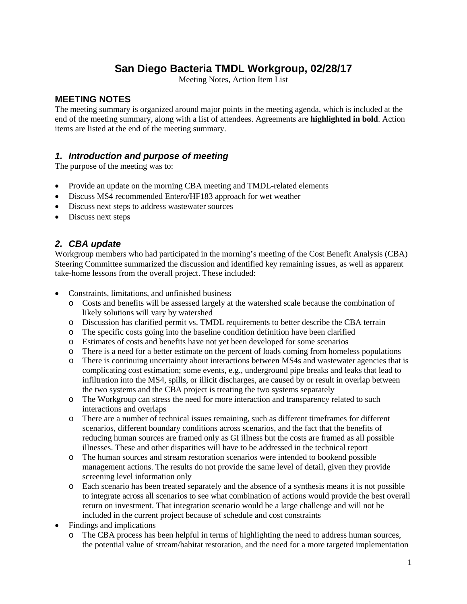### **San Diego Bacteria TMDL Workgroup, 02/28/17**

Meeting Notes, Action Item List

#### **MEETING NOTES**

The meeting summary is organized around major points in the meeting agenda, which is included at the end of the meeting summary, along with a list of attendees. Agreements are **highlighted in bold**. Action items are listed at the end of the meeting summary.

#### *1. Introduction and purpose of meeting*

The purpose of the meeting was to:

- Provide an update on the morning CBA meeting and TMDL-related elements
- Discuss MS4 recommended Entero/HF183 approach for wet weather
- Discuss next steps to address wastewater sources
- Discuss next steps

#### *2. CBA update*

Workgroup members who had participated in the morning's meeting of the Cost Benefit Analysis (CBA) Steering Committee summarized the discussion and identified key remaining issues, as well as apparent take-home lessons from the overall project. These included:

- Constraints, limitations, and unfinished business
	- o Costs and benefits will be assessed largely at the watershed scale because the combination of likely solutions will vary by watershed
	- o Discussion has clarified permit vs. TMDL requirements to better describe the CBA terrain
	- o The specific costs going into the baseline condition definition have been clarified
	- o Estimates of costs and benefits have not yet been developed for some scenarios
	- o There is a need for a better estimate on the percent of loads coming from homeless populations
	- o There is continuing uncertainty about interactions between MS4s and wastewater agencies that is complicating cost estimation; some events, e.g., underground pipe breaks and leaks that lead to infiltration into the MS4, spills, or illicit discharges, are caused by or result in overlap between the two systems and the CBA project is treating the two systems separately
	- o The Workgroup can stress the need for more interaction and transparency related to such interactions and overlaps
	- o There are a number of technical issues remaining, such as different timeframes for different scenarios, different boundary conditions across scenarios, and the fact that the benefits of reducing human sources are framed only as GI illness but the costs are framed as all possible illnesses. These and other disparities will have to be addressed in the technical report
	- o The human sources and stream restoration scenarios were intended to bookend possible management actions. The results do not provide the same level of detail, given they provide screening level information only
	- o Each scenario has been treated separately and the absence of a synthesis means it is not possible to integrate across all scenarios to see what combination of actions would provide the best overall return on investment. That integration scenario would be a large challenge and will not be included in the current project because of schedule and cost constraints
- Findings and implications
	- o The CBA process has been helpful in terms of highlighting the need to address human sources, the potential value of stream/habitat restoration, and the need for a more targeted implementation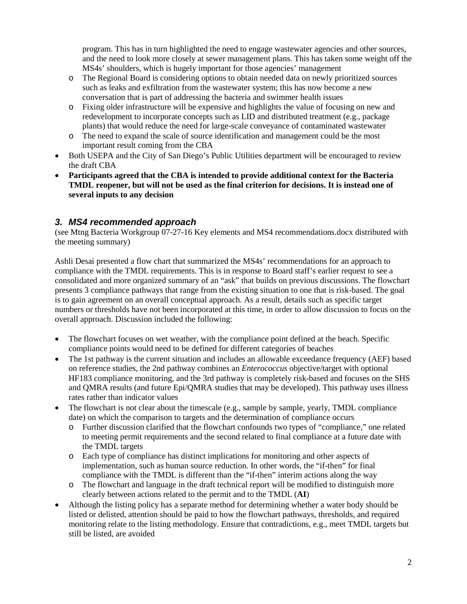program. This has in turn highlighted the need to engage wastewater agencies and other sources, and the need to look more closely at sewer management plans. This has taken some weight off the MS4s' shoulders, which is hugely important for those agencies' management

- o The Regional Board is considering options to obtain needed data on newly prioritized sources such as leaks and exfiltration from the wastewater system; this has now become a new conversation that is part of addressing the bacteria and swimmer health issues
- o Fixing older infrastructure will be expensive and highlights the value of focusing on new and redevelopment to incorporate concepts such as LID and distributed treatment (e.g., package plants) that would reduce the need for large-scale conveyance of contaminated wastewater
- o The need to expand the scale of source identification and management could be the most important result coming from the CBA
- Both USEPA and the City of San Diego's Public Utilities department will be encouraged to review the draft CBA
- **Participants agreed that the CBA is intended to provide additional context for the Bacteria TMDL reopener, but will not be used as the final criterion for decisions. It is instead one of several inputs to any decision**

#### *3. MS4 recommended approach*

(see Mtng Bacteria Workgroup 07-27-16 Key elements and MS4 recommendations.docx distributed with the meeting summary)

Ashli Desai presented a flow chart that summarized the MS4s' recommendations for an approach to compliance with the TMDL requirements. This is in response to Board staff's earlier request to see a consolidated and more organized summary of an "ask" that builds on previous discussions. The flowchart presents 3 compliance pathways that range from the existing situation to one that is risk-based. The goal is to gain agreement on an overall conceptual approach. As a result, details such as specific target numbers or thresholds have not been incorporated at this time, in order to allow discussion to focus on the overall approach. Discussion included the following:

- The flowchart focuses on wet weather, with the compliance point defined at the beach. Specific compliance points would need to be defined for different categories of beaches
- The 1st pathway is the current situation and includes an allowable exceedance frequency (AEF) based on reference studies, the 2nd pathway combines an *Enterococcus* objective/target with optional HF183 compliance monitoring, and the 3rd pathway is completely risk-based and focuses on the SHS and QMRA results (and future Epi/QMRA studies that may be developed). This pathway uses illness rates rather than indicator values
- The flowchart is not clear about the timescale (e.g., sample by sample, yearly, TMDL compliance date) on which the comparison to targets and the determination of compliance occurs
	- o Further discussion clarified that the flowchart confounds two types of "compliance," one related to meeting permit requirements and the second related to final compliance at a future date with the TMDL targets
	- o Each type of compliance has distinct implications for monitoring and other aspects of implementation, such as human source reduction. In other words, the "if-then" for final compliance with the TMDL is different than the "if-then" interim actions along the way
	- o The flowchart and language in the draft technical report will be modified to distinguish more clearly between actions related to the permit and to the TMDL (**AI**)
- Although the listing policy has a separate method for determining whether a water body should be listed or delisted, attention should be paid to how the flowchart pathways, thresholds, and required monitoring relate to the listing methodology. Ensure that contradictions, e.g., meet TMDL targets but still be listed, are avoided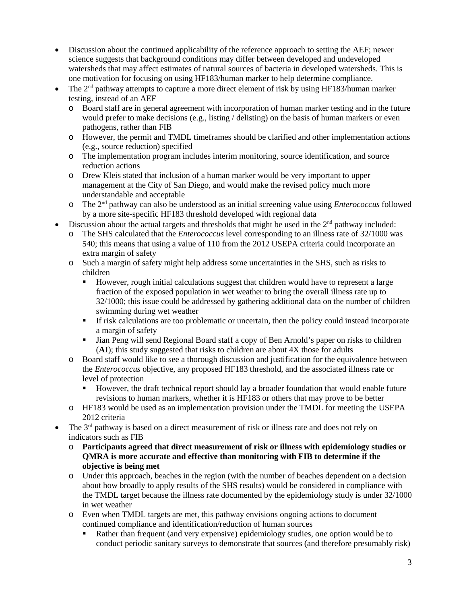- Discussion about the continued applicability of the reference approach to setting the AEF; newer science suggests that background conditions may differ between developed and undeveloped watersheds that may affect estimates of natural sources of bacteria in developed watersheds. This is one motivation for focusing on using HF183/human marker to help determine compliance.
- The 2<sup>nd</sup> pathway attempts to capture a more direct element of risk by using HF183/human marker testing, instead of an AEF
	- o Board staff are in general agreement with incorporation of human marker testing and in the future would prefer to make decisions (e.g., listing / delisting) on the basis of human markers or even pathogens, rather than FIB
	- o However, the permit and TMDL timeframes should be clarified and other implementation actions (e.g., source reduction) specified
	- o The implementation program includes interim monitoring, source identification, and source reduction actions
	- o Drew Kleis stated that inclusion of a human marker would be very important to upper management at the City of San Diego, and would make the revised policy much more understandable and acceptable
	- o The 2nd pathway can also be understood as an initial screening value using *Enterococcus* followed by a more site-specific HF183 threshold developed with regional data
- Discussion about the actual targets and thresholds that might be used in the 2<sup>nd</sup> pathway included:
	- o The SHS calculated that the *Enterococcus* level corresponding to an illness rate of 32/1000 was 540; this means that using a value of 110 from the 2012 USEPA criteria could incorporate an extra margin of safety
	- o Such a margin of safety might help address some uncertainties in the SHS, such as risks to children
		- However, rough initial calculations suggest that children would have to represent a large fraction of the exposed population in wet weather to bring the overall illness rate up to 32/1000; this issue could be addressed by gathering additional data on the number of children swimming during wet weather
		- If risk calculations are too problematic or uncertain, then the policy could instead incorporate a margin of safety
		- If Jian Peng will send Regional Board staff a copy of Ben Arnold's paper on risks to children (**AI**); this study suggested that risks to children are about 4X those for adults
	- o Board staff would like to see a thorough discussion and justification for the equivalence between the *Enterococcus* objective, any proposed HF183 threshold, and the associated illness rate or level of protection
		- However, the draft technical report should lay a broader foundation that would enable future revisions to human markers, whether it is HF183 or others that may prove to be better
	- o HF183 would be used as an implementation provision under the TMDL for meeting the USEPA 2012 criteria
- The 3<sup>rd</sup> pathway is based on a direct measurement of risk or illness rate and does not rely on indicators such as FIB
	- o **Participants agreed that direct measurement of risk or illness with epidemiology studies or QMRA is more accurate and effective than monitoring with FIB to determine if the objective is being met**
	- o Under this approach, beaches in the region (with the number of beaches dependent on a decision about how broadly to apply results of the SHS results) would be considered in compliance with the TMDL target because the illness rate documented by the epidemiology study is under 32/1000 in wet weather
	- o Even when TMDL targets are met, this pathway envisions ongoing actions to document continued compliance and identification/reduction of human sources
		- Rather than frequent (and very expensive) epidemiology studies, one option would be to conduct periodic sanitary surveys to demonstrate that sources (and therefore presumably risk)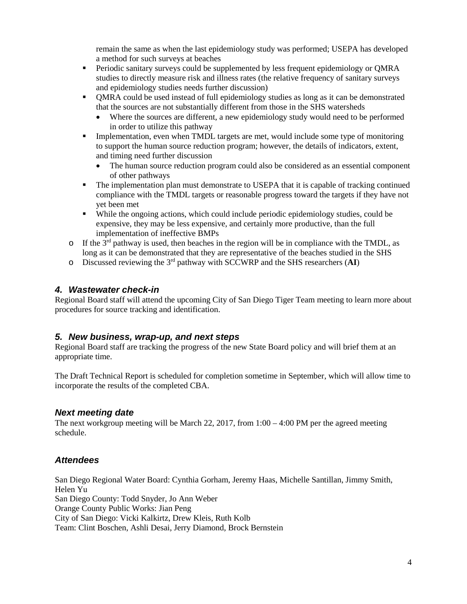remain the same as when the last epidemiology study was performed; USEPA has developed a method for such surveys at beaches

- **Periodic sanitary surveys could be supplemented by less frequent epidemiology or QMRA** studies to directly measure risk and illness rates (the relative frequency of sanitary surveys and epidemiology studies needs further discussion)
- QMRA could be used instead of full epidemiology studies as long as it can be demonstrated that the sources are not substantially different from those in the SHS watersheds
	- Where the sources are different, a new epidemiology study would need to be performed in order to utilize this pathway
- Implementation, even when TMDL targets are met, would include some type of monitoring to support the human source reduction program; however, the details of indicators, extent, and timing need further discussion
	- The human source reduction program could also be considered as an essential component of other pathways
- The implementation plan must demonstrate to USEPA that it is capable of tracking continued compliance with the TMDL targets or reasonable progress toward the targets if they have not yet been met
- While the ongoing actions, which could include periodic epidemiology studies, could be expensive, they may be less expensive, and certainly more productive, than the full implementation of ineffective BMPs
- $\circ$  If the 3<sup>rd</sup> pathway is used, then beaches in the region will be in compliance with the TMDL, as long as it can be demonstrated that they are representative of the beaches studied in the SHS
- o Discussed reviewing the 3rd pathway with SCCWRP and the SHS researchers (**AI**)

#### *4. Wastewater check-in*

Regional Board staff will attend the upcoming City of San Diego Tiger Team meeting to learn more about procedures for source tracking and identification.

#### *5. New business, wrap-up, and next steps*

Regional Board staff are tracking the progress of the new State Board policy and will brief them at an appropriate time.

The Draft Technical Report is scheduled for completion sometime in September, which will allow time to incorporate the results of the completed CBA.

#### *Next meeting date*

The next workgroup meeting will be March 22, 2017, from  $1:00 - 4:00$  PM per the agreed meeting schedule.

#### *Attendees*

San Diego Regional Water Board: Cynthia Gorham, Jeremy Haas, Michelle Santillan, Jimmy Smith, Helen Yu San Diego County: Todd Snyder, Jo Ann Weber Orange County Public Works: Jian Peng City of San Diego: Vicki Kalkirtz, Drew Kleis, Ruth Kolb Team: Clint Boschen, Ashli Desai, Jerry Diamond, Brock Bernstein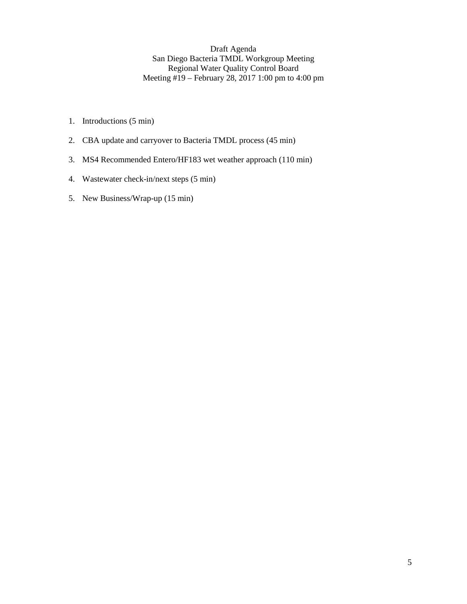Draft Agenda San Diego Bacteria TMDL Workgroup Meeting Regional Water Quality Control Board Meeting #19 – February 28, 2017 1:00 pm to 4:00 pm

- 1. Introductions (5 min)
- 2. CBA update and carryover to Bacteria TMDL process (45 min)
- 3. MS4 Recommended Entero/HF183 wet weather approach (110 min)
- 4. Wastewater check-in/next steps (5 min)
- 5. New Business/Wrap-up (15 min)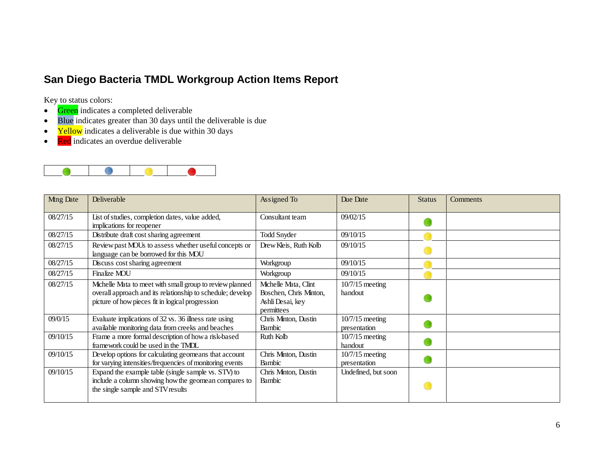## **San Diego Bacteria TMDL Workgroup Action Items Report**

Key to status colors:

- Green indicates a completed deliverable
- Blue indicates greater than 30 days until the deliverable is due
- Yellow indicates a deliverable is due within 30 days
- Red indicates an overdue deliverable



| <b>Mng Date</b> | Deliverable                                                                                                                                                                | Assigned To                                                                      | Due Date                          | <b>Status</b> | Comments |
|-----------------|----------------------------------------------------------------------------------------------------------------------------------------------------------------------------|----------------------------------------------------------------------------------|-----------------------------------|---------------|----------|
| 08/27/15        | List of studies, completion dates, value added,<br>implications for reopener                                                                                               | Consultant team                                                                  | 09/02/15                          |               |          |
| 08/27/15        | Distribute draft cost sharing agreement                                                                                                                                    | <b>Todd Snyder</b>                                                               | 09/10/15                          |               |          |
| 08/27/15        | Review past MOUs to assess whether useful concepts or<br>language can be borrowed for this MOU                                                                             | Drew Kleis, Ruth Kolb                                                            | 09/10/15                          |               |          |
| 08/27/15        | Discuss cost sharing agreement                                                                                                                                             | Workgroup                                                                        | 09/10/15                          |               |          |
| 08/27/15        | Finalize MOU                                                                                                                                                               | Workgroup                                                                        | 09/10/15                          |               |          |
| 08/27/15        | Michelle Mata to meet with small group to review planned<br>overall approach and its relationship to schedule; develop<br>picture of how pieces fit in logical progression | Michelle Mata, Clint<br>Boschen, Chris Minton,<br>Ashli Desai, key<br>permittees | $10/7/15$ meeting<br>handout      |               |          |
| 09/0/15         | Evaluate implications of 32 vs. 36 illness rate using<br>available monitoring data from creeks and beaches                                                                 | Chris Minton, Dustin<br>Bambic                                                   | $10/7/15$ meeting<br>presentation |               |          |
| 09/10/15        | Frame a more formal description of how a risk-based<br>framework could be used in the TMDL                                                                                 | Ruth Kolb                                                                        | $10/7/15$ meeting<br>handout      |               |          |
| 09/10/15        | Develop options for calculating geomeans that account<br>for varying intensities/frequencies of monitoring events                                                          | Chris Minton, Dustin<br>Bambic                                                   | $10/7/15$ meeting<br>presentation |               |          |
| 09/10/15        | Expand the example table (single sample vs. STV) to<br>include a column showing how the geomean compares to<br>the single sample and STV results                           | Chris Minton, Dustin<br><b>Bambic</b>                                            | Undefined, but soon               |               |          |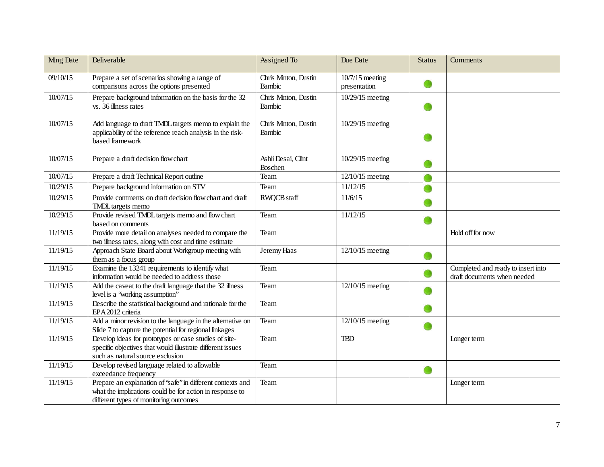| <b>Mng Date</b> | Deliverable                                                                                                                                                       | Assigned To                    | Due Date                          | <b>Status</b> | Comments                                                          |
|-----------------|-------------------------------------------------------------------------------------------------------------------------------------------------------------------|--------------------------------|-----------------------------------|---------------|-------------------------------------------------------------------|
| 09/10/15        | Prepare a set of scenarios showing a range of<br>comparisons across the options presented                                                                         | Chris Minton, Dustin<br>Bambic | $10/7/15$ meeting<br>presentation |               |                                                                   |
| 10/07/15        | Prepare background information on the basis for the 32<br>vs. 36 illness rates                                                                                    | Chris Minton, Dustin<br>Bambic | 10/29/15 meeting                  |               |                                                                   |
| 10/07/15        | Add language to draft TMDL targets memo to explain the<br>applicability of the reference reach analysis in the risk-<br>based framework                           | Chris Minton, Dustin<br>Bambic | 10/29/15 meeting                  |               |                                                                   |
| 10/07/15        | Prepare a draft decision flow chart                                                                                                                               | Ashli Desai, Clint<br>Boschen  | 10/29/15 meeting                  |               |                                                                   |
| 10/07/15        | Prepare a draft Technical Report outline                                                                                                                          | Team                           | 12/10/15 meeting                  |               |                                                                   |
| 10/29/15        | Prepare background information on STV                                                                                                                             | Team                           | 11/12/15                          |               |                                                                   |
| 10/29/15        | Provide comments on draft decision flow chart and draft<br><b>TMDL</b> targets memo                                                                               | RWQCB staff                    | 11/6/15                           |               |                                                                   |
| 10/29/15        | Provide revised TMDL targets memo and flow chart<br>based on comments                                                                                             | Team                           | 11/12/15                          |               |                                                                   |
| 11/19/15        | Provide more detail on analyses needed to compare the<br>two illness rates, along with cost and time estimate                                                     | Team                           |                                   |               | Hold off for now                                                  |
| 11/19/15        | Approach State Board about Workgroup meeting with<br>them as a focus group                                                                                        | Jeremy Haas                    | $12/10/15$ meeting                |               |                                                                   |
| 11/19/15        | Examine the 13241 requirements to identify what<br>information would be needed to address those                                                                   | Team                           |                                   |               | Completed and ready to insert into<br>draft documents when needed |
| 11/19/15        | Add the caveat to the draft language that the 32 illness<br>level is a 'working assumption''                                                                      | Team                           | 12/10/15 meeting                  |               |                                                                   |
| 11/19/15        | Describe the statistical background and rationale for the<br>EPA 2012 criteria                                                                                    | Team                           |                                   |               |                                                                   |
| 11/19/15        | Add a minor revision to the language in the alternative on<br>Slide 7 to capture the potential for regional linkages                                              | Team                           | 12/10/15 meeting                  | œ             |                                                                   |
| 11/19/15        | Develop ideas for prototypes or case studies of site-<br>specific objectives that would illustrate different issues<br>such as natural source exclusion           | Team                           | <b>TBD</b>                        |               | Longer term                                                       |
| 11/19/15        | Develop revised language related to allowable<br>exceedance frequency                                                                                             | Team                           |                                   | O             |                                                                   |
| 11/19/15        | Prepare an explanation of 'safe'' in different contexts and<br>what the implications could be for action in response to<br>different types of monitoring outcomes | Team                           |                                   |               | Longer term                                                       |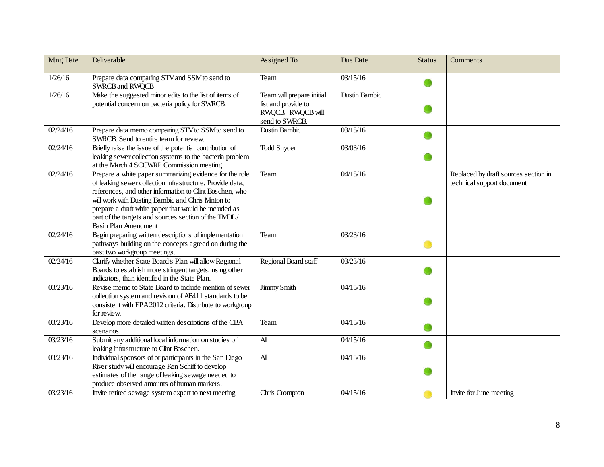| <b>Mng Date</b> | Deliverable                                                                                                                                                                                                                                                                                                                                                                   | Assigned To                                                                             | Due Date      | <b>Status</b> | Comments                                                           |
|-----------------|-------------------------------------------------------------------------------------------------------------------------------------------------------------------------------------------------------------------------------------------------------------------------------------------------------------------------------------------------------------------------------|-----------------------------------------------------------------------------------------|---------------|---------------|--------------------------------------------------------------------|
| 1/26/16         | Prepare data comparing STV and SSM to send to<br><b>SWRCB and RWQCB</b>                                                                                                                                                                                                                                                                                                       | Team                                                                                    | 03/15/16      |               |                                                                    |
| 1/26/16         | Make the suggested minor edits to the list of items of<br>potential concern on bacteria policy for SWRCB.                                                                                                                                                                                                                                                                     | Team will prepare initial<br>list and provide to<br>RWQCB. RWQCB will<br>send to SWRCB. | Dustin Bambic |               |                                                                    |
| 02/24/16        | Prepare data memo comparing STV to SSM to send to<br>SWRCB. Send to entire team for review.                                                                                                                                                                                                                                                                                   | <b>Dustin Bambic</b>                                                                    | 03/15/16      |               |                                                                    |
| 02/24/16        | Briefly raise the issue of the potential contribution of<br>leaking sewer collection systems to the bacteria problem<br>at the March 4 SCCWRP Commission meeting                                                                                                                                                                                                              | <b>Todd Snyder</b>                                                                      | 03/03/16      |               |                                                                    |
| 02/24/16        | Prepare a white paper summarizing evidence for the role<br>of leaking sewer collection infrastructure. Provide data,<br>references, and other information to Clint Boschen, who<br>will work with Dusting Bambic and Chris Minton to<br>prepare a draft white paper that would be included as<br>part of the targets and sources section of the TMDL/<br>Basin Plan Amendment | Team                                                                                    | 04/15/16      |               | Replaced by draft sources section in<br>technical support document |
| 02/24/16        | Begin preparing written descriptions of implementation<br>pathways building on the concepts agreed on during the<br>past two workgroup meetings.                                                                                                                                                                                                                              | Team                                                                                    | 03/23/16      |               |                                                                    |
| 02/24/16        | Clarify whether State Board's Plan will allow Regional<br>Boards to establish more stringent targets, using other<br>indicators, than identified in the State Plan.                                                                                                                                                                                                           | Regional Board staff                                                                    | 03/23/16      |               |                                                                    |
| 03/23/16        | Revise memo to State Board to include mention of sewer<br>collection system and revision of AB411 standards to be<br>consistent with EPA 2012 criteria. Distribute to workgroup<br>for review.                                                                                                                                                                                | Jimmy Smith                                                                             | 04/15/16      |               |                                                                    |
| 03/23/16        | Develop more detailed written descriptions of the CBA<br>scenarios.                                                                                                                                                                                                                                                                                                           | Team                                                                                    | 04/15/16      |               |                                                                    |
| 03/23/16        | Submit any additional local information on studies of<br>leaking infrastructure to Clint Boschen.                                                                                                                                                                                                                                                                             | $\mathbf{A}$ ll                                                                         | 04/15/16      |               |                                                                    |
| 03/23/16        | Individual sponsors of or participants in the San Diego<br>River study will encourage Ken Schiff to develop<br>estimates of the range of leaking sewage needed to<br>produce observed amounts of human markers.                                                                                                                                                               | $\overline{A}$                                                                          | 04/15/16      |               |                                                                    |
| 03/23/16        | Invite retired sewage system expert to next meeting                                                                                                                                                                                                                                                                                                                           | Chris Crompton                                                                          | 04/15/16      |               | Invite for June meeting                                            |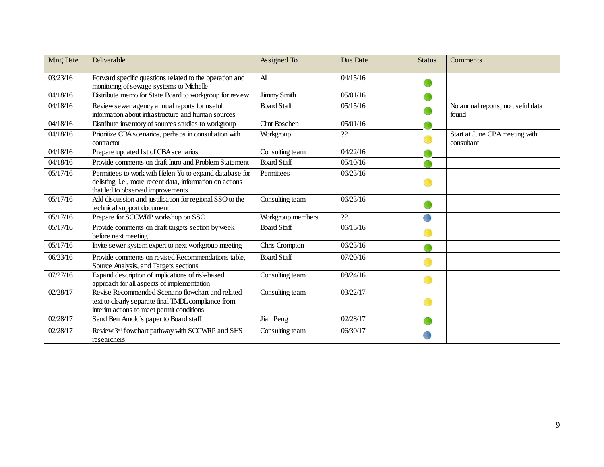| <b>Mng Date</b> | Deliverable                                                                                                                                               | Assigned To          | Due Date | <b>Status</b> | Comments                                     |
|-----------------|-----------------------------------------------------------------------------------------------------------------------------------------------------------|----------------------|----------|---------------|----------------------------------------------|
| 03/23/16        | Forward specific questions related to the operation and<br>monitoring of sewage systems to Michelle                                                       | All                  | 04/15/16 |               |                                              |
| 04/18/16        | Distribute memo for State Board to workgroup for review                                                                                                   | Jimmy Smith          | 05/01/16 |               |                                              |
| 04/18/16        | Review sewer agency annual reports for useful<br>information about infrastructure and human sources                                                       | <b>Board Staff</b>   | 05/15/16 |               | No annual reports; no useful data<br>found   |
| 04/18/16        | Distribute inventory of sources studies to workgroup                                                                                                      | <b>Clint Boschen</b> | 05/01/16 |               |                                              |
| 04/18/16        | Prioritize CBA scenarios, perhaps in consultation with<br>contractor                                                                                      | Workgroup            | ??       |               | Start at June CBA meeting with<br>consultant |
| 04/18/16        | Prepare updated list of CBA scenarios                                                                                                                     | Consulting team      | 04/22/16 |               |                                              |
| 04/18/16        | Provide comments on draft Intro and Problem Statement                                                                                                     | <b>Board Staff</b>   | 05/10/16 |               |                                              |
| 05/17/16        | Permittees to work with Helen Yu to expand database for<br>delisting, i.e., more recent data, information on actions<br>that led to observed improvements | Permittees           | 06/23/16 |               |                                              |
| 05/17/16        | Add discussion and justification for regional SSO to the<br>technical support document                                                                    | Consulting team      | 06/23/16 |               |                                              |
| 05/17/16        | Prepare for SCCWRP workshop on SSO                                                                                                                        | Workgroup members    | ??       |               |                                              |
| 05/17/16        | Provide comments on draft targets section by week<br>before next meeting                                                                                  | <b>Board Staff</b>   | 06/15/16 |               |                                              |
| 05/17/16        | Invite sewer system expert to next workgroup meeting                                                                                                      | Chris Crompton       | 06/23/16 |               |                                              |
| 06/23/16        | Provide comments on revised Recommendations table,<br>Source Analysis, and Targets sections                                                               | <b>Board Staff</b>   | 07/20/16 |               |                                              |
| 07/27/16        | Expand description of implications of risk-based<br>approach for all aspects of implementation                                                            | Consulting team      | 08/24/16 |               |                                              |
| 02/28/17        | Revise Recommended Scenario flowchart and related<br>text to clearly separate final TMDL compliance from<br>interim actions to meet permit conditions     | Consulting team      | 03/22/17 |               |                                              |
| 02/28/17        | Send Ben Arnold's paper to Board staff                                                                                                                    | Jian Peng            | 02/28/17 |               |                                              |
| 02/28/17        | Review 3rd flowchart pathway with SCCWRP and SHS<br>researchers                                                                                           | Consulting team      | 06/30/17 |               |                                              |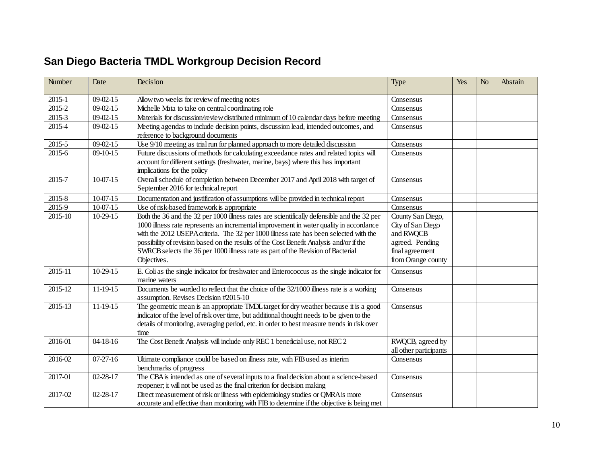# **San Diego Bacteria TMDL Workgroup Decision Record**

| Number   | Date                  | Decision                                                                                                                                                                                                                                                                                                                                                                                                                                                                   | Type                                                                                                            | Yes | N <sub>0</sub> | Abstain |
|----------|-----------------------|----------------------------------------------------------------------------------------------------------------------------------------------------------------------------------------------------------------------------------------------------------------------------------------------------------------------------------------------------------------------------------------------------------------------------------------------------------------------------|-----------------------------------------------------------------------------------------------------------------|-----|----------------|---------|
| 2015-1   | $09 - 02 - 15$        | Allow two weeks for review of meeting notes                                                                                                                                                                                                                                                                                                                                                                                                                                | Consensus                                                                                                       |     |                |         |
| $2015-2$ | $09 - 02 - 15$        | Michelle Mata to take on central coordinating role                                                                                                                                                                                                                                                                                                                                                                                                                         | Consensus                                                                                                       |     |                |         |
| 2015-3   | $09 - 02 - 15$        | Materials for discussion/review distributed minimum of 10 calendar days before meeting                                                                                                                                                                                                                                                                                                                                                                                     | Consensus                                                                                                       |     |                |         |
| 2015-4   | $09 - 02 - 15$        | Meeting agendas to include decision points, discussion lead, intended outcomes, and<br>reference to background documents                                                                                                                                                                                                                                                                                                                                                   | Consensus                                                                                                       |     |                |         |
| 2015-5   | $\overline{09-02-15}$ | Use 9/10 meeting as trial run for planned approach to more detailed discussion                                                                                                                                                                                                                                                                                                                                                                                             | Consensus                                                                                                       |     |                |         |
| 2015-6   | $09-10-15$            | Future discussions of methods for calculating exceedance rates and related topics will<br>account for different settings (freshwater, marine, bays) where this has important<br>implications for the policy                                                                                                                                                                                                                                                                | Consensus                                                                                                       |     |                |         |
| 2015-7   | $10-07-15$            | Overall schedule of completion between December 2017 and April 2018 with target of<br>September 2016 for technical report                                                                                                                                                                                                                                                                                                                                                  | Consensus                                                                                                       |     |                |         |
| 2015-8   | $10-07-15$            | Documentation and justification of assumptions will be provided in technical report                                                                                                                                                                                                                                                                                                                                                                                        | Consensus                                                                                                       |     |                |         |
| 2015-9   | $10-07-15$            | Use of risk-based framework is appropriate                                                                                                                                                                                                                                                                                                                                                                                                                                 | Consensus                                                                                                       |     |                |         |
| 2015-10  | $10-29-15$            | Both the 36 and the 32 per 1000 illness rates are scientifically defensible and the 32 per<br>1000 illness rate represents an incremental improvement in water quality in accordance<br>with the 2012 USEPA criteria. The 32 per 1000 illness rate has been selected with the<br>possibility of revision based on the results of the Cost Benefit Analysis and/or if the<br>SWRCB selects the 36 per 1000 illness rate as part of the Revision of Bacterial<br>Objectives. | County San Diego,<br>City of San Diego<br>and RWQCB<br>agreed. Pending<br>final agreement<br>from Orange county |     |                |         |
| 2015-11  | 10-29-15              | E. Coli as the single indicator for freshwater and Enterococcus as the single indicator for<br>marine waters                                                                                                                                                                                                                                                                                                                                                               | Consensus                                                                                                       |     |                |         |
| 2015-12  | 11-19-15              | Documents be worded to reflect that the choice of the 32/1000 illness rate is a working<br>assumption. Revises Decision #2015-10                                                                                                                                                                                                                                                                                                                                           | Consensus                                                                                                       |     |                |         |
| 2015-13  | 11-19-15              | The geometric mean is an appropriate TMDL target for dry weather because it is a good<br>indicator of the level of risk over time, but additional thought needs to be given to the<br>details of monitoring, averaging period, etc. in order to best measure trends in risk over<br>time                                                                                                                                                                                   | Consensus                                                                                                       |     |                |         |
| 2016-01  | $04-18-16$            | The Cost Benefit Analysis will include only REC 1 beneficial use, not REC 2                                                                                                                                                                                                                                                                                                                                                                                                | RWQCB, agreed by<br>all other participants                                                                      |     |                |         |
| 2016-02  | $07-27-16$            | Ultimate compliance could be based on illness rate, with FIB used as interim<br>benchmarks of progress                                                                                                                                                                                                                                                                                                                                                                     | Consensus                                                                                                       |     |                |         |
| 2017-01  | $02 - 28 - 17$        | The CBA is intended as one of several inputs to a final decision about a science-based<br>reopener; it will not be used as the final criterion for decision making                                                                                                                                                                                                                                                                                                         | Consensus                                                                                                       |     |                |         |
| 2017-02  | $02 - 28 - 17$        | Direct measurement of risk or illness with epidemiology studies or QMRA is more<br>accurate and effective than monitoring with FIB to determine if the objective is being met                                                                                                                                                                                                                                                                                              | Consensus                                                                                                       |     |                |         |